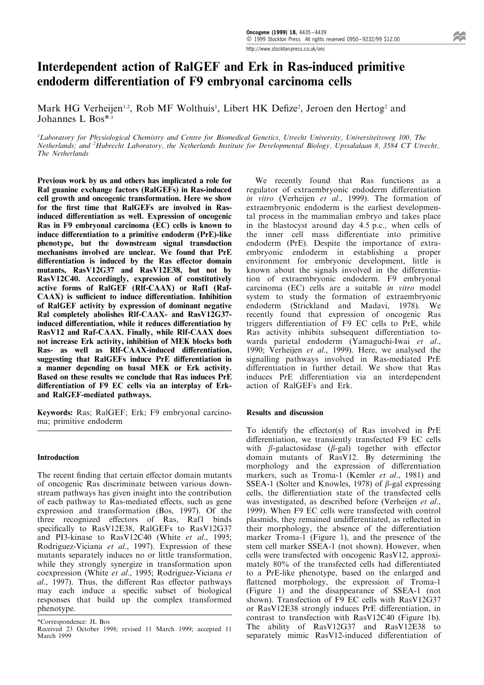# Interdependent action of RalGEF and Erk in Ras-induced primitive endoderm differentiation of F9 embryonal carcinoma cells

Mark HG Verheijen<sup>1,2</sup>, Rob MF Wolthuis<sup>1</sup>, Libert HK Defize<sup>2</sup>, Jeroen den Hertog<sup>2</sup> and Johannes L Bos\*,1

<sup>1</sup>Laboratory for Physiological Chemistry and Centre for Biomedical Genetics, Utrecht University, Universiteitsweg 100, The Netherlands; and <sup>2</sup>Hubrecht Laboratory, the Netherlands Institute for Developmental Biology, Upssalalaan 8, 3584 CT Utrecht, The Netherlands

Previous work by us and others has implicated a role for Ral guanine exchange factors (RalGEFs) in Ras-induced cell growth and oncogenic transformation. Here we show for the first time that RalGEFs are involved in Rasinduced differentiation as well. Expression of oncogenic Ras in F9 embryonal carcinoma (EC) cells is known to induce differentiation to a primitive endoderm (PrE)-like phenotype, but the downstream signal transduction mechanisms involved are unclear. We found that PrE differentiation is induced by the Ras effector domain mutants, RasV12G37 and RasV12E38, but not by RasV12C40. Accordingly, expression of constitutively active forms of RalGEF (Rlf-CAAX) or Raf1 (Raf-CAAX) is sufficient to induce differentiation. Inhibition of RalGEF activity by expression of dominant negative Ral completely abolishes Rlf-CAAX- and RasV12G37 induced differentiation, while it reduces differentiation by RasV12 and Raf-CAAX. Finally, while Rlf-CAAX does not increase Erk activity, inhibition of MEK blocks both Ras- as well as RIf-CAAX-induced differentiation, suggesting that RalGEFs induce PrE differentiation in a manner depending on basal MEK or Erk activity. Based on these results we conclude that Ras induces PrE differentiation of F9 EC cells via an interplay of Erkand RalGEF-mediated pathways.

Keywords: Ras; RalGEF; Erk; F9 embryonal carcinoma; primitive endoderm

## Introduction

The recent finding that certain effector domain mutants of oncogenic Ras discriminate between various downstream pathways has given insight into the contribution of each pathway to Ras-mediated effects, such as gene expression and transformation (Bos, 1997). Of the three recognized effectors of Ras, Raf1 binds specifically to RasV12E38, RalGEFs to RasV12G37 and PI3-kinase to RasV12C40 (White et al., 1995; Rodriguez-Viciana et al., 1997). Expression of these mutants separately induces no or little transformation, while they strongly synergize in transformation upon coexpression (White et al., 1995; Rodriguez-Viciana et al., 1997). Thus, the different Ras effector pathways may each induce a specific subset of biological responses that build up the complex transformed phenotype.

\*Correspondence: JL Bos

Received 23 October 1998; revised 11 March 1999; accepted 11 March 1999

We recently found that Ras functions as a regulator of extraembryonic endoderm differentiation in vitro (Verheijen et al., 1999). The formation of extraembryonic endoderm is the earliest developmental process in the mammalian embryo and takes place in the blastocyst around day 4.5 p.c., when cells of the inner cell mass differentiate into primitive endoderm (PrE). Despite the importance of extraembryonic endoderm in establishing a proper environment for embryonic development, little is known about the signals involved in the differentiation of extraembryonic endoderm. F9 embryonal carcinoma (EC) cells are a suitable in vitro model system to study the formation of extraembryonic endoderm (Strickland and Madavi, 1978). We recently found that expression of oncogenic Ras triggers differentiation of  $F9$  EC cells to  $PrE$ , while Ras activity inhibits subsequent differentiation towards parietal endoderm (Yamaguchi-Iwai et al., 1990; Verheijen et al., 1999). Here, we analysed the signalling pathways involved in Ras-mediated PrE differentiation in further detail. We show that Ras induces PrE differentiation via an interdependent action of RalGEFs and Erk.

## Results and discussion

To identify the effector(s) of Ras involved in  $PrE$ differentiation, we transiently transfected F9 EC cells with  $\beta$ -galactosidase ( $\beta$ -gal) together with effector domain mutants of RasV12. By determining the morphology and the expression of differentiation markers, such as Troma-1 (Kemler et al., 1981) and SSEA-1 (Solter and Knowles, 1978) of  $\beta$ -gal expressing cells, the differentiation state of the transfected cells was investigated, as described before (Verheijen et al., 1999). When F9 EC cells were transfected with control plasmids, they remained undifferentiated, as reflected in their morphology, the absence of the differentiation marker Troma-1 (Figure 1), and the presence of the stem cell marker SSEA-1 (not shown). However, when cells were transfected with oncogenic RasV12, approximately 80% of the transfected cells had differentiated to a PrE-like phenotype, based on the enlarged and flattened morphology, the expression of Troma-1 (Figure 1) and the disappearance of SSEA-1 (not shown). Transfection of F9 EC cells with RasV12G37 or RasV12E38 strongly induces PrE differentiation, in contrast to transfection with RasV12C40 (Figure 1b). The ability of RasV12G37 and RasV12E38 to separately mimic RasV12-induced differentiation of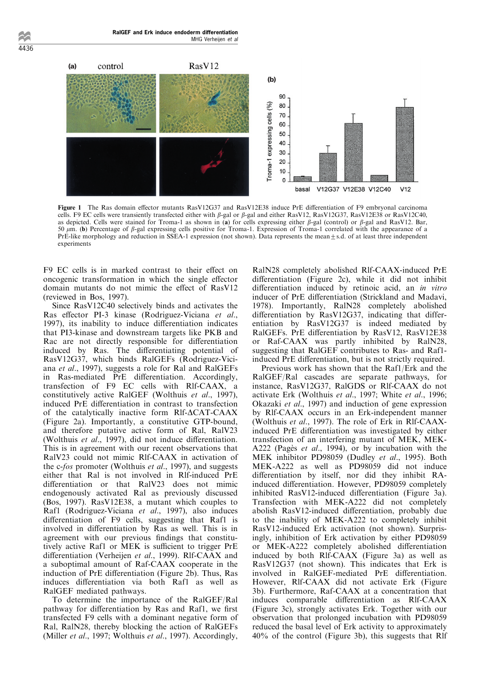

Figure 1 The Ras domain effector mutants RasV12G37 and RasV12E38 induce PrE differentiation of F9 embryonal carcinoma cells. F9 EC cells were transiently transfected either with  $\beta$ -gal or  $\beta$ -gal and either RasV12, RasV12G37, RasV12E38 or RasV12C40, as depicted. Cells were stained for Troma-1 as shown in (a) for cells expressing either  $\beta$ -gal (control) or  $\beta$ -gal and RasV12. Bar, 50  $\mu$ m. (b) Percentage of  $\beta$ -gal expressing cells positive for Troma-1. Expression of Troma-1 correlated with the appearance of a PrE-like morphology and reduction in SSEA-1 expression (not shown). Data represents the mean $\pm$ s.d. of at least three independent experiments

F9 EC cells is in marked contrast to their effect on oncogenic transformation in which the single effector domain mutants do not mimic the effect of RasV12 (reviewed in Bos, 1997).

Since RasV12C40 selectively binds and activates the Ras effector PI-3 kinase (Rodriguez-Viciana et al., 1997), its inability to induce differentiation indicates that PI3-kinase and downstream targets like PKB and Rac are not directly responsible for differentiation induced by Ras. The differentiating potential of RasV12G37, which binds RalGEFs (Rodriguez-Viciana et al., 1997), suggests a role for Ral and RalGEFs in Ras-mediated PrE differentiation. Accordingly, transfection of F9 EC cells with Rlf-CAAX, a constitutively active RalGEF (Wolthuis et al., 1997), induced PrE differentiation in contrast to transfection of the catalytically inactive form  $R$ If- $\triangle$ CAT-CAAX (Figure 2a). Importantly, a constitutive GTP-bound, and therefore putative active form of Ral, RalV23 (Wolthuis  $et$  al., 1997), did not induce differentiation. This is in agreement with our recent observations that RalV23 could not mimic Rlf-CAAX in activation of the c-fos promoter (Wolthuis et al., 1997), and suggests either that Ral is not involved in Rlf-induced PrE differentiation or that RalV23 does not mimic endogenously activated Ral as previously discussed (Bos, 1997). RasV12E38, a mutant which couples to Raf1 (Rodriguez-Viciana et al., 1997), also induces differentiation of F9 cells, suggesting that Raf1 is involved in differentiation by Ras as well. This is in agreement with our previous findings that constitutively active Raf1 or MEK is sufficient to trigger PrE differentiation (Verheijen et al., 1999). Rlf-CAAX and a suboptimal amount of Raf-CAAX cooperate in the induction of PrE differentiation (Figure 2b). Thus, Ras induces differentiation via both Raf1 as well as RalGEF mediated pathways.

To determine the importance of the RalGEF/Ral pathway for differentiation by Ras and Raf1, we first transfected F9 cells with a dominant negative form of Ral, RalN28, thereby blocking the action of RalGEFs (Miller et al., 1997; Wolthuis et al., 1997). Accordingly, RalN28 completely abolished Rlf-CAAX-induced PrE differentiation (Figure 2c), while it did not inhibit differentiation induced by retinoic acid, an in vitro inducer of PrE differentiation (Strickland and Madavi, 1978). Importantly, RalN28 completely abolished differentiation by  $RasV12G37$ , indicating that differentiation by RasV12G37 is indeed mediated by RalGEFs. PrE differentiation by RasV12, RasV12E38 or Raf-CAAX was partly inhibited by RalN28, suggesting that RalGEF contributes to Ras- and Raf1 induced PrE differentiation, but is not strictly required.

Previous work has shown that the Raf1/Erk and the RalGEF/Ral cascades are separate pathways, for instance, RasV12G37, RalGDS or Rlf-CAAX do not activate Erk (Wolthuis et al., 1997; White et al., 1996; Okazaki et al., 1997) and induction of gene expression by Rlf-CAAX occurs in an Erk-independent manner (Wolthuis et al., 1997). The role of Erk in Rlf-CAAXinduced PrE differentiation was investigated by either transfection of an interfering mutant of MEK, MEK-A222 (Pagès et al., 1994), or by incubation with the MEK inhibitor PD98059 (Dudley et al., 1995). Both MEK-A222 as well as PD98059 did not induce differentiation by itself, nor did they inhibit RAinduced differentiation. However, PD98059 completely inhibited RasV12-induced differentiation (Figure 3a). Transfection with MEK-A222 did not completely abolish RasV12-induced differentiation, probably due to the inability of MEK-A222 to completely inhibit RasV12-induced Erk activation (not shown). Surprisingly, inhibition of Erk activation by either PD98059 or MEK-A222 completely abolished differentiation induced by both Rlf-CAAX (Figure 3a) as well as RasV12G37 (not shown). This indicates that Erk is involved in RalGEF-mediated PrE differentiation. However, Rlf-CAAX did not activate Erk (Figure 3b). Furthermore, Raf-CAAX at a concentration that induces comparable differentiation as Rlf-CAAX (Figure 3c), strongly activates Erk. Together with our observation that prolonged incubation with PD98059 reduced the basal level of Erk activity to approximately 40% of the control (Figure 3b), this suggests that Rlf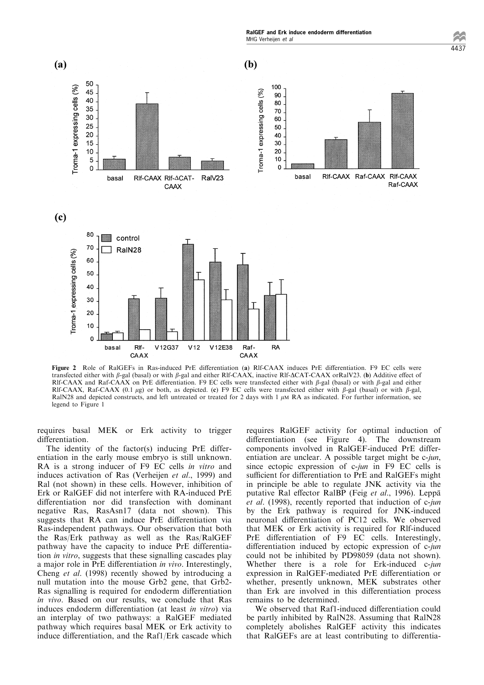RalGEF and Erk induce endoderm differentiation MHG Verheijen et al



Figure 2 Role of RalGEFs in Ras-induced PrE differentiation (a) Rlf-CAAX induces PrE differentiation. F9 EC cells were transfected either with  $\beta$ -gal (basal) or with  $\beta$ -gal and either Rlf-CAAX, inactive Rlf-ACAT-CAAX orRalV23. (b) Additive effect of Rlf-CAAX and Raf-CAAX on PrE differentiation. F9 EC cells were transfected either with  $\beta$ -gal (basal) or with  $\beta$ -gal and either

Raf-

CAAX

**RA** 

V12E38

 $V<sub>12</sub>$ 



basal

requires basal MEK or Erk activity to trigger differentiation.

RIf-

CAAX

V12G37

The identity of the factor(s) inducing PrE differentiation in the early mouse embryo is still unknown. RA is a strong inducer of F9 EC cells in vitro and induces activation of Ras (Verheijen et al., 1999) and Ral (not shown) in these cells. However, inhibition of Erk or RalGEF did not interfere with RA-induced PrE differentiation nor did transfection with dominant negative Ras, RasAsn17 (data not shown). This suggests that RA can induce PrE differentiation via Ras-independent pathways. Our observation that both the Ras/Erk pathway as well as the Ras/RalGEF pathway have the capacity to induce PrE differentiation in vitro, suggests that these signalling cascades play a major role in PrE differentiation in vivo. Interestingly, Cheng et al. (1998) recently showed by introducing a null mutation into the mouse Grb2 gene, that Grb2- Ras signalling is required for endoderm differentiation in vivo. Based on our results, we conclude that Ras induces endoderm differentiation (at least in vitro) via an interplay of two pathways: a RalGEF mediated pathway which requires basal MEK or Erk activity to induce differentiation, and the  $Raf1/Erk$  cascade which requires RalGEF activity for optimal induction of differentiation (see Figure 4). The downstream components involved in RalGEF-induced PrE differentiation are unclear. A possible target might be c-jun, since ectopic expression of c-jun in F9 EC cells is sufficient for differentiation to PrE and RalGEFs might in principle be able to regulate JNK activity via the putative Ral effector RalBP (Feig et al., 1996). Leppä et al. (1998), recently reported that induction of c-jun by the Erk pathway is required for JNK-induced neuronal differentiation of PC12 cells. We observed that MEK or Erk activity is required for Rlf-induced  $PrE$  differentiation of  $F9$   $EC$  cells. Interestingly, differentiation induced by ectopic expression of  $c$ -jun could not be inhibited by PD98059 (data not shown). Whether there is a role for Erk-induced c-jun expression in RalGEF-mediated PrE differentiation or whether, presently unknown, MEK substrates other than Erk are involved in this differentiation process remains to be determined.

We observed that Raf1-induced differentiation could be partly inhibited by RalN28. Assuming that RalN28 completely abolishes RalGEF activity this indicates that RalGEFs are at least contributing to differentia $4437$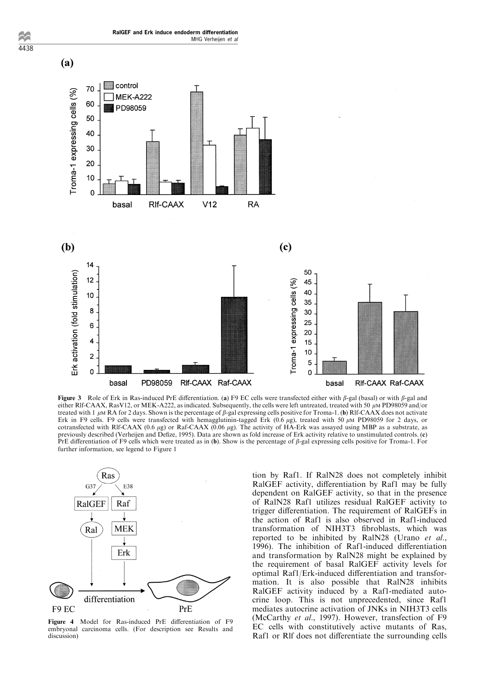

Figure 3 Role of Erk in Ras-induced PrE differentiation. (a) F9 EC cells were transfected either with  $\beta$ -gal (basal) or with  $\beta$ -gal and either Rlf-CAAX, RasV12, or MEK-A222, as indicated. Subsequently, the cells were left untreated, treated with 50  $\mu$ M PD98059 and/or treated with 1  $\mu$ M RA for 2 days. Shown is the percentage of  $\beta$ -gal expressing cells positive for Troma-1. (b) Rlf-CAAX does not activate Erk in F9 cells. F9 cells were transfected with hemagglutinin-tagged Erk  $(0.6 \mu g)$ , treated with 50  $\mu$ M PD98059 for 2 days, or cotransfected with Rlf-CAAX (0.6  $\mu$ g) or Raf-CAAX (0.06  $\mu$ g). The activity of HA-Erk was assayed using MBP as a substrate, as previously described (Verheijen and Defize, 1995). Data are shown as fold increase of Erk activity relative to unstimulated controls. (c) PrE differentiation of F9 cells which were treated as in (b). Show is the percentage of  $\beta$ -gal expressing cells positive for Troma-1. For further information, see legend to Figure 1



4438

Figure 4 Model for Ras-induced PrE differentiation of F9 embryonal carcinoma cells. (For description see Results and discussion)

tion by Raf1. If RalN28 does not completely inhibit RalGEF activity, differentiation by Raf1 may be fully dependent on RalGEF activity, so that in the presence of RalN28 Raf1 utilizes residual RalGEF activity to trigger differentiation. The requirement of RalGEFs in the action of Raf1 is also observed in Raf1-induced transformation of NIH3T3 fibroblasts, which was reported to be inhibited by RalN28 (Urano et al., 1996). The inhibition of Raf1-induced differentiation and transformation by RalN28 might be explained by the requirement of basal RalGEF activity levels for optimal Raf1/Erk-induced differentiation and transformation. It is also possible that RalN28 inhibits RalGEF activity induced by a Raf1-mediated autocrine loop. This is not unprecedented, since Raf1 mediates autocrine activation of JNKs in NIH3T3 cells (McCarthy et al., 1997). However, transfection of F9 EC cells with constitutively active mutants of Ras, Raf1 or Rlf does not differentiate the surrounding cells